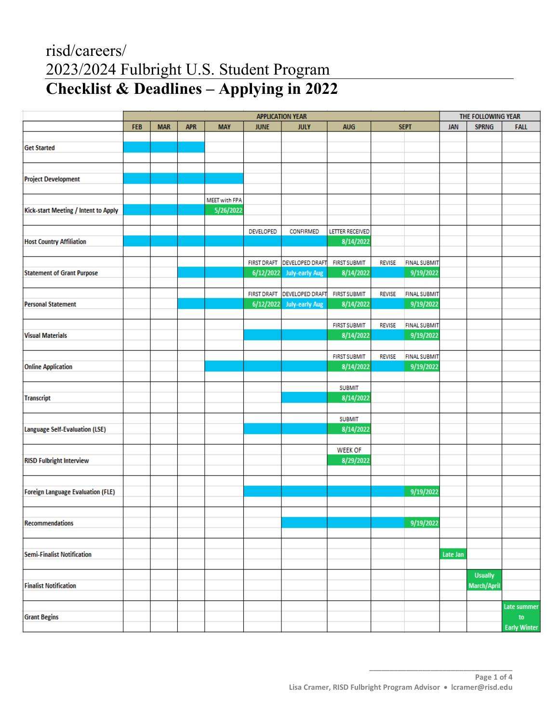# risd/careers/ 2023/2024 Fulbright U.S. Student Program **Checklist & Deadlines – Applying in 2022**

|                                          | <b>APPLICATION YEAR</b> |            |            |                      |             |                             |                     |               |                     | THE FOLLOWING YEAR |                |                     |
|------------------------------------------|-------------------------|------------|------------|----------------------|-------------|-----------------------------|---------------------|---------------|---------------------|--------------------|----------------|---------------------|
|                                          | <b>FEB</b>              | <b>MAR</b> | <b>APR</b> | <b>MAY</b>           | <b>JUNE</b> | <b>JULY</b>                 | <b>AUG</b>          |               | <b>SEPT</b>         | <b>JAN</b>         | <b>SPRNG</b>   | <b>FALL</b>         |
|                                          |                         |            |            |                      |             |                             |                     |               |                     |                    |                |                     |
| <b>Get Started</b>                       |                         |            |            |                      |             |                             |                     |               |                     |                    |                |                     |
|                                          |                         |            |            |                      |             |                             |                     |               |                     |                    |                |                     |
|                                          |                         |            |            |                      |             |                             |                     |               |                     |                    |                |                     |
| <b>Project Development</b>               |                         |            |            |                      |             |                             |                     |               |                     |                    |                |                     |
|                                          |                         |            |            |                      |             |                             |                     |               |                     |                    |                |                     |
|                                          |                         |            |            | <b>MEET with FPA</b> |             |                             |                     |               |                     |                    |                |                     |
| Kick-start Meeting / Intent to Apply     |                         |            |            | 5/26/2022            |             |                             |                     |               |                     |                    |                |                     |
|                                          |                         |            |            |                      |             |                             |                     |               |                     |                    |                |                     |
|                                          |                         |            |            |                      | DEVELOPED   | CONFIRMED                   | LETTER RECEIVED     |               |                     |                    |                |                     |
| <b>Host Country Affiliation</b>          |                         |            |            |                      |             |                             | 8/14/2022           |               |                     |                    |                |                     |
|                                          |                         |            |            |                      |             |                             |                     |               |                     |                    |                |                     |
|                                          |                         |            |            |                      |             | FIRST DRAFT DEVELOPED DRAFT | <b>FIRST SUBMIT</b> | <b>REVISE</b> | <b>FINAL SUBMIT</b> |                    |                |                     |
| <b>Statement of Grant Purpose</b>        |                         |            |            |                      |             | 6/12/2022 July-early Aug    | 8/14/2022           |               | 9/19/2022           |                    |                |                     |
|                                          |                         |            |            |                      |             |                             |                     |               |                     |                    |                |                     |
|                                          |                         |            |            |                      |             | FIRST DRAFT DEVELOPED DRAFT | <b>FIRST SUBMIT</b> | <b>REVISE</b> | <b>FINAL SUBMIT</b> |                    |                |                     |
| <b>Personal Statement</b>                |                         |            |            |                      |             | 6/12/2022 July-early Aug    | 8/14/2022           |               | 9/19/2022           |                    |                |                     |
|                                          |                         |            |            |                      |             |                             |                     |               |                     |                    |                |                     |
|                                          |                         |            |            |                      |             |                             | <b>FIRST SUBMIT</b> | <b>REVISE</b> | <b>FINAL SUBMIT</b> |                    |                |                     |
| <b>Visual Materials</b>                  |                         |            |            |                      |             |                             | 8/14/2022           |               | 9/19/2022           |                    |                |                     |
|                                          |                         |            |            |                      |             |                             |                     |               |                     |                    |                |                     |
|                                          |                         |            |            |                      |             |                             | <b>FIRST SUBMIT</b> | <b>REVISE</b> | <b>FINAL SUBMIT</b> |                    |                |                     |
| <b>Online Application</b>                |                         |            |            |                      |             |                             | 8/14/2022           |               | 9/19/2022           |                    |                |                     |
|                                          |                         |            |            |                      |             |                             |                     |               |                     |                    |                |                     |
|                                          |                         |            |            |                      |             |                             | <b>SUBMIT</b>       |               |                     |                    |                |                     |
| <b>Transcript</b>                        |                         |            |            |                      |             |                             | 8/14/2022           |               |                     |                    |                |                     |
|                                          |                         |            |            |                      |             |                             |                     |               |                     |                    |                |                     |
|                                          |                         |            |            |                      |             |                             | <b>SUBMIT</b>       |               |                     |                    |                |                     |
| <b>Language Self-Evaluation (LSE)</b>    |                         |            |            |                      |             |                             | 8/14/2022           |               |                     |                    |                |                     |
|                                          |                         |            |            |                      |             |                             |                     |               |                     |                    |                |                     |
|                                          |                         |            |            |                      |             |                             | <b>WEEK OF</b>      |               |                     |                    |                |                     |
| <b>RISD Fulbright Interview</b>          |                         |            |            |                      |             |                             | 8/29/2022           |               |                     |                    |                |                     |
|                                          |                         |            |            |                      |             |                             |                     |               |                     |                    |                |                     |
|                                          |                         |            |            |                      |             |                             |                     |               |                     |                    |                |                     |
| <b>Foreign Language Evaluation (FLE)</b> |                         |            |            |                      |             |                             |                     |               | 9/19/2022           |                    |                |                     |
|                                          |                         |            |            |                      |             |                             |                     |               |                     |                    |                |                     |
|                                          |                         |            |            |                      |             |                             |                     |               |                     |                    |                |                     |
| Recommendations                          |                         |            |            |                      |             |                             |                     |               | 9/19/2022           |                    |                |                     |
|                                          |                         |            |            |                      |             |                             |                     |               |                     |                    |                |                     |
|                                          |                         |            |            |                      |             |                             |                     |               |                     |                    |                |                     |
| <b>Semi-Finalist Notification</b>        |                         |            |            |                      |             |                             |                     |               |                     | Late Jan           |                |                     |
|                                          |                         |            |            |                      |             |                             |                     |               |                     |                    |                |                     |
|                                          |                         |            |            |                      |             |                             |                     |               |                     |                    | <b>Usually</b> |                     |
| <b>Finalist Notification</b>             |                         |            |            |                      |             |                             |                     |               |                     |                    | March/April    |                     |
|                                          |                         |            |            |                      |             |                             |                     |               |                     |                    |                |                     |
|                                          |                         |            |            |                      |             |                             |                     |               |                     |                    |                | Late summer         |
| <b>Grant Begins</b>                      |                         |            |            |                      |             |                             |                     |               |                     |                    |                | to                  |
|                                          |                         |            |            |                      |             |                             |                     |               |                     |                    |                | <b>Early Winter</b> |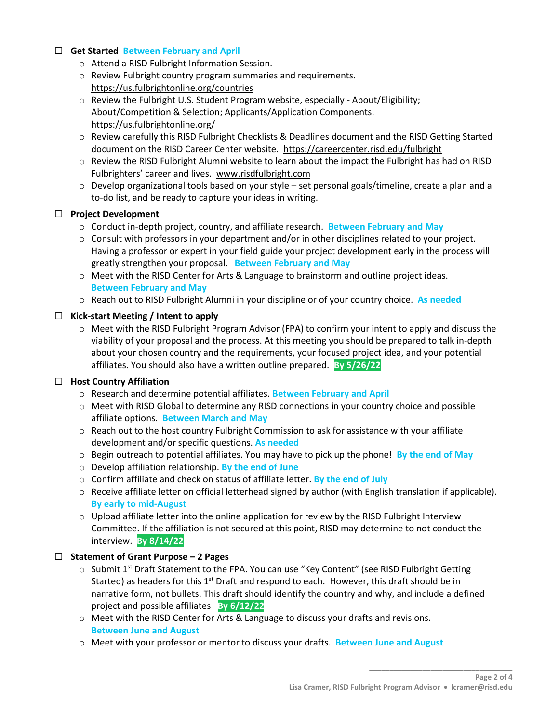## □ **Get Started Between February and April**

- o Attend a RISD Fulbright Information Session.
- o Review Fulbright country program summaries and requirements. <https://us.fulbrightonline.org/countries>
- o Review the Fulbright U.S. Student Program website, especially About/Eligibility; About/Competition & Selection; Applicants/Application Components. <https://us.fulbrightonline.org/>
- o Review carefully this RISD Fulbright Checklists & Deadlines document and the RISD Getting Started document on the RISD Career Center website. <https://careercenter.risd.edu/fulbright>
- o Review the RISD Fulbright Alumni website to learn about the impact the Fulbright has had on RISD Fulbrighters' career and lives. [www.risdfulbright.com](http://www.risdfulbright.com/)
- o Develop organizational tools based on your style set personal goals/timeline, create a plan and a to-do list, and be ready to capture your ideas in writing.

#### □ **Project Development**

- o Conduct in-depth project, country, and affiliate research. **Between February and May**
- o Consult with professors in your department and/or in other disciplines related to your project. Having a professor or expert in your field guide your project development early in the process will greatly strengthen your proposal. **Between February and May**
- o Meet with the RISD Center for Arts & Language to brainstorm and outline project ideas. **Between February and May**
- o Reach out to RISD Fulbright Alumni in your discipline or of your country choice. **As needed**

## □ **Kick-start Meeting / Intent to apply**

 $\circ$  Meet with the RISD Fulbright Program Advisor (FPA) to confirm your intent to apply and discuss the viability of your proposal and the process. At this meeting you should be prepared to talk in-depth about your chosen country and the requirements, your focused project idea, and your potential affiliates. You should also have a written outline prepared. **By 5/26/22** 

## □ **Host Country Affiliation**

- o Research and determine potential affiliates. **Between February and April**
- o Meet with RISD Global to determine any RISD connections in your country choice and possible affiliate options. **Between March and May**
- $\circ$  Reach out to the host country Fulbright Commission to ask for assistance with your affiliate development and/or specific questions. **As needed**
- o Begin outreach to potential affiliates. You may have to pick up the phone! **By the end of May**
- o Develop affiliation relationship. **By the end of June**
- o Confirm affiliate and check on status of affiliate letter. **By the end of July**
- o Receive affiliate letter on official letterhead signed by author (with English translation if applicable). **By early to mid-August**
- $\circ$  Upload affiliate letter into the online application for review by the RISD Fulbright Interview Committee. If the affiliation is not secured at this point, RISD may determine to not conduct the interview. **By 8/14/22**

## □ **Statement of Grant Purpose – 2 Pages**

- $\circ$  Submit 1<sup>st</sup> Draft Statement to the FPA. You can use "Key Content" (see RISD Fulbright Getting Started) as headers for this 1<sup>st</sup> Draft and respond to each. However, this draft should be in narrative form, not bullets. This draft should identify the country and why, and include a defined project and possible affiliates **By 6/12/22**
- $\circ$  Meet with the RISD Center for Arts & Language to discuss your drafts and revisions. **Between June and August**
- o Meet with your professor or mentor to discuss your drafts. **Between June and August**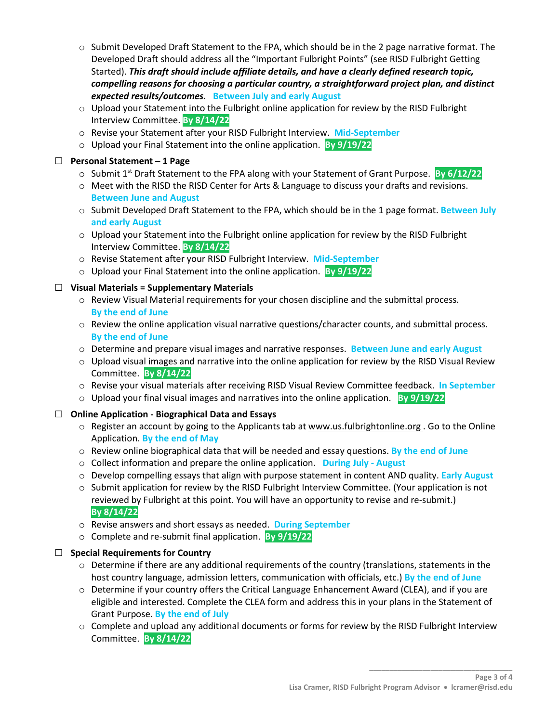- $\circ$  Submit Developed Draft Statement to the FPA, which should be in the 2 page narrative format. The Developed Draft should address all the "Important Fulbright Points" (see RISD Fulbright Getting Started). *This draft should include affiliate details, and have a clearly defined research topic, compelling reasons for choosing a particular country, a straightforward project plan, and distinct expected results/outcomes.* **Between July and early August**
- $\circ$  Upload your Statement into the Fulbright online application for review by the RISD Fulbright Interview Committee. **By 8/14/22**
- o Revise your Statement after your RISD Fulbright Interview. **Mid-September**
- o Upload your Final Statement into the online application. **By 9/19/22**

# □ **Personal Statement – 1 Page**

- o Submit 1st Draft Statement to the FPA along with your Statement of Grant Purpose. **By 6/12/22**
- o Meet with the RISD the RISD Center for Arts & Language to discuss your drafts and revisions. **Between June and August**
- o Submit Developed Draft Statement to the FPA, which should be in the 1 page format. **Between July and early August**
- $\circ$  Upload your Statement into the Fulbright online application for review by the RISD Fulbright Interview Committee. **By 8/14/22**
- o Revise Statement after your RISD Fulbright Interview. **Mid-September**
- o Upload your Final Statement into the online application. **By 9/19/22**

## □ **Visual Materials = Supplementary Materials**

- o Review Visual Material requirements for your chosen discipline and the submittal process. **By the end of June**
- o Review the online application visual narrative questions/character counts, and submittal process. **By the end of June**
- o Determine and prepare visual images and narrative responses. **Between June and early August**
- $\circ$  Upload visual images and narrative into the online application for review by the RISD Visual Review Committee. **By 8/14/22**
- o Revise your visual materials after receiving RISD Visual Review Committee feedback. **In September**
- o Upload your final visual images and narratives into the online application. **By 9/19/22**

## □ **Online Application - Biographical Data and Essays**

- o Register an account by going to the Applicants tab at [www.us.fulbrightonline.org](http://www.us.fulbrightonline.org/) . Go to the Online Application. **By the end of May**
- o Review online biographical data that will be needed and essay questions. **By the end of June**
- o Collect information and prepare the online application. **During July August**
- o Develop compelling essays that align with purpose statement in content AND quality. **Early August**
- $\circ$  Submit application for review by the RISD Fulbright Interview Committee. (Your application is not reviewed by Fulbright at this point. You will have an opportunity to revise and re-submit.) **By 8/14/22**
- o Revise answers and short essays as needed. **During September**
- o Complete and re-submit final application. **By 9/19/22**

## □ **Special Requirements for Country**

- $\circ$  Determine if there are any additional requirements of the country (translations, statements in the host country language, admission letters, communication with officials, etc.) **By the end of June**
- $\circ$  Determine if your country offers the Critical Language Enhancement Award (CLEA), and if you are eligible and interested. Complete the CLEA form and address this in your plans in the Statement of Grant Purpose. **By the end of July**
- o Complete and upload any additional documents or forms for review by the RISD Fulbright Interview Committee. **By 8/14/22**